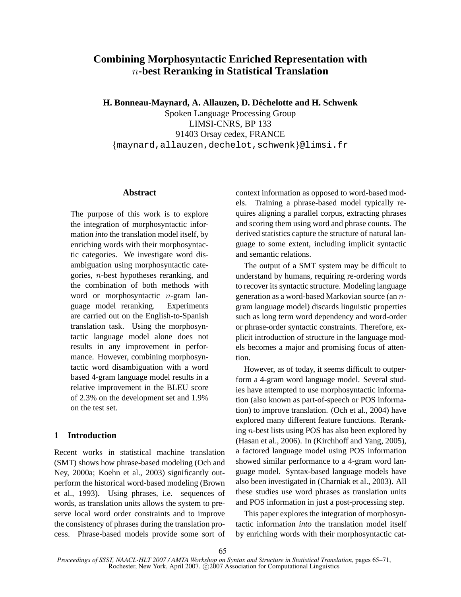# **Combining Morphosyntactic Enriched Representation with** n**-best Reranking in Statistical Translation**

**H. Bonneau-Maynard, A. Allauzen, D. Dechelotte and H. Schwenk ´**

Spoken Language Processing Group LIMSI-CNRS, BP 133 91403 Orsay cedex, FRANCE {maynard,allauzen,dechelot,schwenk}@limsi.fr

#### **Abstract**

The purpose of this work is to explore the integration of morphosyntactic information *into* the translation model itself, by enriching words with their morphosyntactic categories. We investigate word disambiguation using morphosyntactic categories, n-best hypotheses reranking, and the combination of both methods with word or morphosyntactic *n*-gram language model reranking. Experiments are carried out on the English-to-Spanish translation task. Using the morphosyntactic language model alone does not results in any improvement in performance. However, combining morphosyntactic word disambiguation with a word based 4-gram language model results in a relative improvement in the BLEU score of 2.3% on the development set and 1.9% on the test set.

## **1 Introduction**

Recent works in statistical machine translation (SMT) shows how phrase-based modeling (Och and Ney, 2000a; Koehn et al., 2003) significantly outperform the historical word-based modeling (Brown et al., 1993). Using phrases, i.e. sequences of words, as translation units allows the system to preserve local word order constraints and to improve the consistency of phrases during the translation process. Phrase-based models provide some sort of context information as opposed to word-based models. Training a phrase-based model typically requires aligning a parallel corpus, extracting phrases and scoring them using word and phrase counts. The derived statistics capture the structure of natural language to some extent, including implicit syntactic and semantic relations.

The output of a SMT system may be difficult to understand by humans, requiring re-ordering words to recover its syntactic structure. Modeling language generation as a word-based Markovian source (an ngram language model) discards linguistic properties such as long term word dependency and word-order or phrase-order syntactic constraints. Therefore, explicit introduction of structure in the language models becomes a major and promising focus of attention.

However, as of today, it seems difficult to outperform a 4-gram word language model. Several studies have attempted to use morphosyntactic information (also known as part-of-speech or POS information) to improve translation. (Och et al., 2004) have explored many different feature functions. Reranking n-best lists using POS has also been explored by (Hasan et al., 2006). In (Kirchhoff and Yang, 2005), a factored language model using POS information showed similar performance to a 4-gram word language model. Syntax-based language models have also been investigated in (Charniak et al., 2003). All these studies use word phrases as translation units and POS information in just a post-processing step.

This paper explores the integration of morphosyntactic information *into* the translation model itself by enriching words with their morphosyntactic cat-

*Proceedings of SSST, NAACL-HLT 2007 / AMTA Workshop on Syntax and Structure in Statistical Translation*, pages 65–71, Rochester, New York, April 2007. ©2007 Association for Computational Linguistics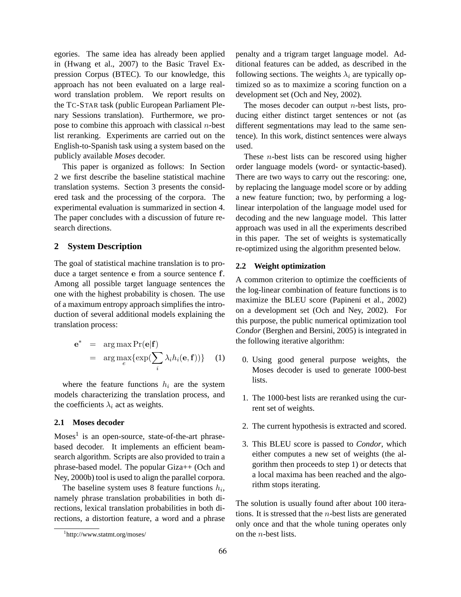egories. The same idea has already been applied in (Hwang et al., 2007) to the Basic Travel Expression Corpus (BTEC). To our knowledge, this approach has not been evaluated on a large realword translation problem. We report results on the TC-STAR task (public European Parliament Plenary Sessions translation). Furthermore, we propose to combine this approach with classical  $n$ -best list reranking. Experiments are carried out on the English-to-Spanish task using a system based on the publicly available *Moses* decoder.

This paper is organized as follows: In Section 2 we first describe the baseline statistical machine translation systems. Section 3 presents the considered task and the processing of the corpora. The experimental evaluation is summarized in section 4. The paper concludes with a discussion of future research directions.

## **2 System Description**

The goal of statistical machine translation is to produce a target sentence e from a source sentence f. Among all possible target language sentences the one with the highest probability is chosen. The use of a maximum entropy approach simplifies the introduction of several additional models explaining the translation process:

$$
\mathbf{e}^* = \arg \max_{e} \Pr(\mathbf{e}|\mathbf{f})
$$
  
= 
$$
\arg \max_{e} \{ \exp(\sum_{i} \lambda_i h_i(\mathbf{e}, \mathbf{f})) \} (1)
$$

where the feature functions  $h_i$  are the system models characterizing the translation process, and the coefficients  $\lambda_i$  act as weights.

## **2.1 Moses decoder**

 $Moses<sup>1</sup>$  is an open-source, state-of-the-art phrasebased decoder. It implements an efficient beamsearch algorithm. Scripts are also provided to train a phrase-based model. The popular Giza++ (Och and Ney, 2000b) tool is used to align the parallel corpora.

The baseline system uses 8 feature functions  $h_i$ , namely phrase translation probabilities in both directions, lexical translation probabilities in both directions, a distortion feature, a word and a phrase penalty and a trigram target language model. Additional features can be added, as described in the following sections. The weights  $\lambda_i$  are typically optimized so as to maximize a scoring function on a development set (Och and Ney, 2002).

The moses decoder can output  $n$ -best lists, producing either distinct target sentences or not (as different segmentations may lead to the same sentence). In this work, distinct sentences were always used.

These  $n$ -best lists can be rescored using higher order language models (word- or syntactic-based). There are two ways to carry out the rescoring: one, by replacing the language model score or by adding a new feature function; two, by performing a loglinear interpolation of the language model used for decoding and the new language model. This latter approach was used in all the experiments described in this paper. The set of weights is systematically re-optimized using the algorithm presented below.

## **2.2 Weight optimization**

A common criterion to optimize the coefficients of the log-linear combination of feature functions is to maximize the BLEU score (Papineni et al., 2002) on a development set (Och and Ney, 2002). For this purpose, the public numerical optimization tool *Condor* (Berghen and Bersini, 2005) is integrated in the following iterative algorithm:

- 0. Using good general purpose weights, the Moses decoder is used to generate 1000-best lists.
- 1. The 1000-best lists are reranked using the current set of weights.
- 2. The current hypothesis is extracted and scored.
- 3. This BLEU score is passed to *Condor*, which either computes a new set of weights (the algorithm then proceeds to step 1) or detects that a local maxima has been reached and the algorithm stops iterating.

The solution is usually found after about 100 iterations. It is stressed that the  $n$ -best lists are generated only once and that the whole tuning operates only on the n-best lists.

<sup>1</sup> http://www.statmt.org/moses/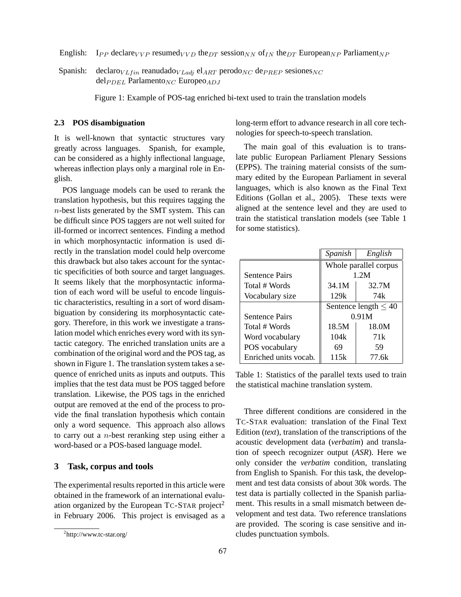English: I<sub>PP</sub> declare<sub>VVP</sub> resumed<sub>VVD</sub> the<sub>DT</sub> session<sub>NN</sub> of<sub>IN</sub> the<sub>DT</sub> European<sub>NP</sub> Parliament<sub>NP</sub>

Spanish: declaro $V_{Lfin}$  reanudado $V_{Ladj}$  el<sub>ART</sub> perodo<sub>NC</sub> de<sub>PREP</sub> sesiones<sub>NC</sub>  $del_{PDEL}$  Parlamento<sub>NC</sub> Europeo<sub>ADJ</sub>

Figure 1: Example of POS-tag enriched bi-text used to train the translation models

#### **2.3 POS disambiguation**

It is well-known that syntactic structures vary greatly across languages. Spanish, for example, can be considered as a highly inflectional language, whereas inflection plays only a marginal role in English.

POS language models can be used to rerank the translation hypothesis, but this requires tagging the  $n$ -best lists generated by the SMT system. This can be difficult since POS taggers are not well suited for ill-formed or incorrect sentences. Finding a method in which morphosyntactic information is used directly in the translation model could help overcome this drawback but also takes account for the syntactic specificities of both source and target languages. It seems likely that the morphosyntactic information of each word will be useful to encode linguistic characteristics, resulting in a sort of word disambiguation by considering its morphosyntactic category. Therefore, in this work we investigate a translation model which enriches every word with its syntactic category. The enriched translation units are a combination of the original word and the POS tag, as shown in Figure 1. The translation system takes a sequence of enriched units as inputs and outputs. This implies that the test data must be POS tagged before translation. Likewise, the POS tags in the enriched output are removed at the end of the process to provide the final translation hypothesis which contain only a word sequence. This approach also allows to carry out a  $n$ -best reranking step using either a word-based or a POS-based language model.

## **3 Task, corpus and tools**

The experimental results reported in this article were obtained in the framework of an international evaluation organized by the European  $T_{C-STAR}$  project<sup>2</sup> in February 2006. This project is envisaged as a long-term effort to advance research in all core technologies for speech-to-speech translation.

The main goal of this evaluation is to translate public European Parliament Plenary Sessions (EPPS). The training material consists of the summary edited by the European Parliament in several languages, which is also known as the Final Text Editions (Gollan et al., 2005). These texts were aligned at the sentence level and they are used to train the statistical translation models (see Table 1 for some statistics).

|                       | Spanish                   | English |  |
|-----------------------|---------------------------|---------|--|
|                       | Whole parallel corpus     |         |  |
| <b>Sentence Pairs</b> | 1.2M                      |         |  |
| Total # Words         | 34.1M                     | 32.7M   |  |
| Vocabulary size       | 129k                      | 74k     |  |
|                       | Sentence length $\leq 40$ |         |  |
| <b>Sentence Pairs</b> | 0.91M                     |         |  |
| Total # Words         | 18.5M                     | 18.0M   |  |
| Word vocabulary       | 104k                      | 71k     |  |
| POS vocabulary        | 69                        | 59      |  |
| Enriched units vocab. | 115k                      | 77.6k   |  |

Table 1: Statistics of the parallel texts used to train the statistical machine translation system.

Three different conditions are considered in the TC-STAR evaluation: translation of the Final Text Edition (*text*), translation of the transcriptions of the acoustic development data (*verbatim*) and translation of speech recognizer output (*ASR*). Here we only consider the *verbatim* condition, translating from English to Spanish. For this task, the development and test data consists of about 30k words. The test data is partially collected in the Spanish parliament. This results in a small mismatch between development and test data. Two reference translations are provided. The scoring is case sensitive and includes punctuation symbols.

<sup>&</sup>lt;sup>2</sup>http://www.tc-star.org/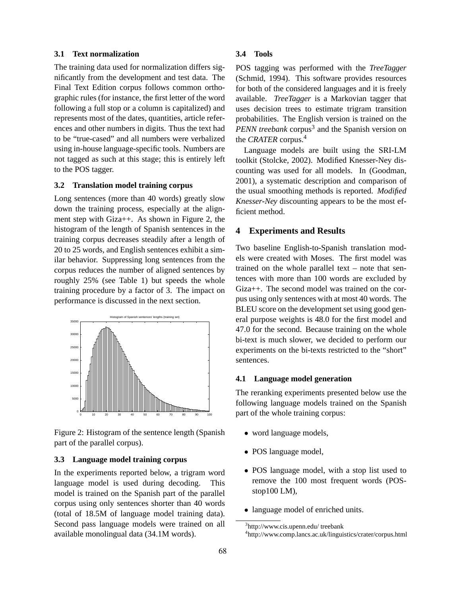## **3.1 Text normalization**

The training data used for normalization differs significantly from the development and test data. The Final Text Edition corpus follows common orthographic rules (for instance, the first letter of the word following a full stop or a column is capitalized) and represents most of the dates, quantities, article references and other numbers in digits. Thus the text had to be "true-cased" and all numbers were verbalized using in-house language-specific tools. Numbers are not tagged as such at this stage; this is entirely left to the POS tagger.

## **3.2 Translation model training corpus**

Long sentences (more than 40 words) greatly slow down the training process, especially at the alignment step with Giza++. As shown in Figure 2, the histogram of the length of Spanish sentences in the training corpus decreases steadily after a length of 20 to 25 words, and English sentences exhibit a similar behavior. Suppressing long sentences from the corpus reduces the number of aligned sentences by roughly 25% (see Table 1) but speeds the whole training procedure by a factor of 3. The impact on performance is discussed in the next section.



Figure 2: Histogram of the sentence length (Spanish part of the parallel corpus).

## **3.3 Language model training corpus**

In the experiments reported below, a trigram word language model is used during decoding. This model is trained on the Spanish part of the parallel corpus using only sentences shorter than 40 words (total of 18.5M of language model training data). Second pass language models were trained on all available monolingual data (34.1M words).

## **3.4 Tools**

POS tagging was performed with the *TreeTagger* (Schmid, 1994). This software provides resources for both of the considered languages and it is freely available. *TreeTagger* is a Markovian tagger that uses decision trees to estimate trigram transition probabilities. The English version is trained on the PENN treebank corpus<sup>3</sup> and the Spanish version on the *CRATER* corpus.<sup>4</sup>

Language models are built using the SRI-LM toolkit (Stolcke, 2002). Modified Knesser-Ney discounting was used for all models. In (Goodman, 2001), a systematic description and comparison of the usual smoothing methods is reported. *Modified Knesser-Ney* discounting appears to be the most efficient method.

#### **4 Experiments and Results**

Two baseline English-to-Spanish translation models were created with Moses. The first model was trained on the whole parallel text – note that sentences with more than 100 words are excluded by Giza++. The second model was trained on the corpus using only sentences with at most 40 words. The BLEU score on the development set using good general purpose weights is 48.0 for the first model and 47.0 for the second. Because training on the whole bi-text is much slower, we decided to perform our experiments on the bi-texts restricted to the "short" sentences.

## **4.1 Language model generation**

The reranking experiments presented below use the following language models trained on the Spanish part of the whole training corpus:

- word language models,
- POS language model,
- POS language model, with a stop list used to remove the 100 most frequent words (POSstop100 LM),
- language model of enriched units.

<sup>3</sup> http://www.cis.upenn.edu/ treebank

<sup>4</sup> http://www.comp.lancs.ac.uk/linguistics/crater/corpus.html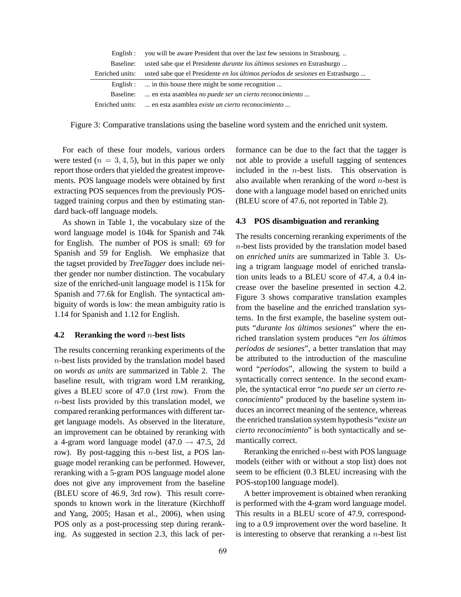| Enelish:        | you will be aware President that over the last few sessions in Strasbourg       |
|-----------------|---------------------------------------------------------------------------------|
| Baseline:       | usted sabe que el Presidente <i>durante los últimos sesiones</i> en Estrasburgo |
| Enriched units: | usted sabe que el Presidente en los últimos períodos de sesiones en Estrasburgo |
|                 | English :  in this house there might be some recognition                        |
| Baseline:       | en esta asamblea no puede ser un cierto reconocimiento                          |
| Enriched units: | en esta asamblea <i>existe un cierto reconocimiento</i>                         |

Figure 3: Comparative translations using the baseline word system and the enriched unit system.

For each of these four models, various orders were tested  $(n = 3, 4, 5)$ , but in this paper we only report those orders that yielded the greatest improvements. POS language models were obtained by first extracting POS sequences from the previously POStagged training corpus and then by estimating standard back-off language models.

As shown in Table 1, the vocabulary size of the word language model is 104k for Spanish and 74k for English. The number of POS is small: 69 for Spanish and 59 for English. We emphasize that the tagset provided by *TreeTagger* does include neither gender nor number distinction. The vocabulary size of the enriched-unit language model is 115k for Spanish and 77.6k for English. The syntactical ambiguity of words is low: the mean ambiguity ratio is 1.14 for Spanish and 1.12 for English.

#### **4.2 Reranking the word** n**-best lists**

The results concerning reranking experiments of the  $n$ -best lists provided by the translation model based on *words as units* are summarized in Table 2. The baseline result, with trigram word LM reranking, gives a BLEU score of 47.0 (1rst row). From the  $n$ -best lists provided by this translation model, we compared reranking performances with different target language models. As observed in the literature, an improvement can be obtained by reranking with a 4-gram word language model (47.0  $\rightarrow$  47.5, 2d row). By post-tagging this *n*-best list, a POS language model reranking can be performed. However, reranking with a 5-gram POS language model alone does not give any improvement from the baseline (BLEU score of 46.9, 3rd row). This result corresponds to known work in the literature (Kirchhoff and Yang, 2005; Hasan et al., 2006), when using POS only as a post-processing step during reranking. As suggested in section 2.3, this lack of performance can be due to the fact that the tagger is not able to provide a usefull tagging of sentences included in the  $n$ -best lists. This observation is also available when reranking of the word  $n$ -best is done with a language model based on enriched units (BLEU score of 47.6, not reported in Table 2).

## **4.3 POS disambiguation and reranking**

The results concerning reranking experiments of the  $n$ -best lists provided by the translation model based on *enriched units* are summarized in Table 3. Using a trigram language model of enriched translation units leads to a BLEU score of 47.4, a 0.4 increase over the baseline presented in section 4.2. Figure 3 shows comparative translation examples from the baseline and the enriched translation systems. In the first example, the baseline system outputs "*durante los últimos sesiones*" where the enriched translation system produces "*en los ultimos ´ períodos de sesiones*", a better translation that may be attributed to the introduction of the masculine word "*períodos*", allowing the system to build a syntactically correct sentence. In the second example, the syntactical error "*no puede ser un cierto reconocimiento*" produced by the baseline system induces an incorrect meaning of the sentence, whereas the enriched translation system hypothesis "*existe un cierto reconocimiento*" is both syntactically and semantically correct.

Reranking the enriched  $n$ -best with POS language models (either with or without a stop list) does not seem to be efficient (0.3 BLEU increasing with the POS-stop100 language model).

A better improvement is obtained when reranking is performed with the 4-gram word language model. This results in a BLEU score of 47.9, corresponding to a 0.9 improvement over the word baseline. It is interesting to observe that reranking a  $n$ -best list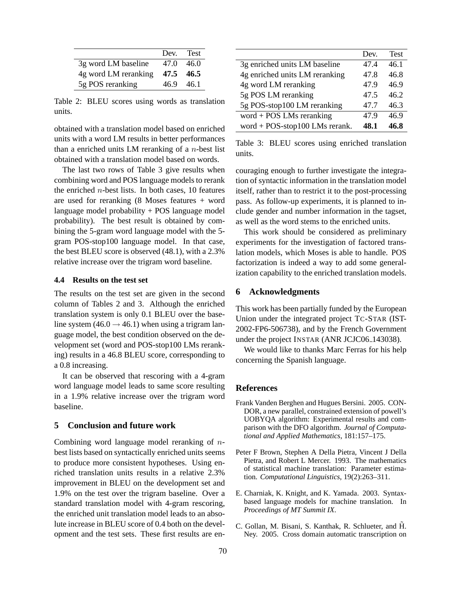|                      | Dev. Test |       |
|----------------------|-----------|-------|
| 3g word LM baseline  | 47 O      | 46.0  |
| 4g word LM reranking | 47.5 46.5 |       |
| 5g POS reranking     | 46.9      | -46.1 |

Table 2: BLEU scores using words as translation units.

obtained with a translation model based on enriched units with a word LM results in better performances than a enriched units LM reranking of a  $n$ -best list obtained with a translation model based on words.

The last two rows of Table 3 give results when combining word and POS language models to rerank the enriched  $n$ -best lists. In both cases, 10 features are used for reranking (8 Moses features + word language model probability + POS language model probability). The best result is obtained by combining the 5-gram word language model with the 5 gram POS-stop100 language model. In that case, the best BLEU score is observed (48.1), with a 2.3% relative increase over the trigram word baseline.

#### **4.4 Results on the test set**

The results on the test set are given in the second column of Tables 2 and 3. Although the enriched translation system is only 0.1 BLEU over the baseline system (46.0  $\rightarrow$  46.1) when using a trigram language model, the best condition observed on the development set (word and POS-stop100 LMs reranking) results in a 46.8 BLEU score, corresponding to a 0.8 increasing.

It can be observed that rescoring with a 4-gram word language model leads to same score resulting in a 1.9% relative increase over the trigram word baseline.

#### **5 Conclusion and future work**

Combining word language model reranking of nbest lists based on syntactically enriched units seems to produce more consistent hypotheses. Using enriched translation units results in a relative 2.3% improvement in BLEU on the development set and 1.9% on the test over the trigram baseline. Over a standard translation model with 4-gram rescoring, the enriched unit translation model leads to an absolute increase in BLEU score of 0.4 both on the development and the test sets. These first results are en-

|                                | Dev. | <b>Test</b> |
|--------------------------------|------|-------------|
| 3g enriched units LM baseline  | 47.4 | 46.1        |
| 4g enriched units LM reranking | 47.8 | 46.8        |
| 4g word LM reranking           | 47.9 | 46.9        |
| 5g POS LM reranking            | 47.5 | 46.2        |
| 5g POS-stop100 LM reranking    | 47.7 | 46.3        |
| word + POS LMs reranking       | 47.9 | 46.9        |
| word + POS-stop100 LMs rerank. | 48.1 | 46.8        |

Table 3: BLEU scores using enriched translation units.

couraging enough to further investigate the integration of syntactic information in the translation model itself, rather than to restrict it to the post-processing pass. As follow-up experiments, it is planned to include gender and number information in the tagset, as well as the word stems to the enriched units.

This work should be considered as preliminary experiments for the investigation of factored translation models, which Moses is able to handle. POS factorization is indeed a way to add some generalization capability to the enriched translation models.

### **6 Acknowledgments**

This work has been partially funded by the European Union under the integrated project TC-STAR (IST-2002-FP6-506738), and by the French Government under the project INSTAR (ANR JCJC06<sub>-143038)</sub>.

We would like to thanks Marc Ferras for his help concerning the Spanish language.

#### **References**

- Frank Vanden Berghen and Hugues Bersini. 2005. CON-DOR, a new parallel, constrained extension of powell's UOBYQA algorithm: Experimental results and comparison with the DFO algorithm. *Journal of Computational and Applied Mathematics*, 181:157–175.
- Peter F Brown, Stephen A Della Pietra, Vincent J Della Pietra, and Robert L Mercer. 1993. The mathematics of statistical machine translation: Parameter estimation. *Computational Linguistics*, 19(2):263–311.
- E. Charniak, K. Knight, and K. Yamada. 2003. Syntaxbased language models for machine translation. In *Proceedings of MT Summit IX*.
- C. Gollan, M. Bisani, S. Kanthak, R. Schlueter, and H. Ney. 2005. Cross domain automatic transcription on